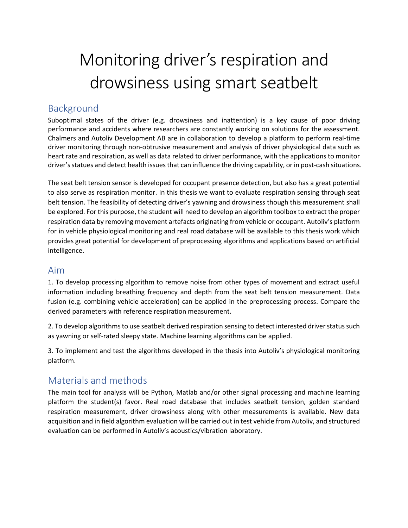# Monitoring driver's respiration and drowsiness using smart seatbelt

## Background

Suboptimal states of the driver (e.g. drowsiness and inattention) is a key cause of poor driving performance and accidents where researchers are constantly working on solutions for the assessment. Chalmers and Autoliv Development AB are in collaboration to develop a platform to perform real-time driver monitoring through non-obtrusive measurement and analysis of driver physiological data such as heart rate and respiration, as well as data related to driver performance, with the applications to monitor driver's statues and detect health issues that can influence the driving capability, or in post-cash situations.

The seat belt tension sensor is developed for occupant presence detection, but also has a great potential to also serve as respiration monitor. In this thesis we want to evaluate respiration sensing through seat belt tension. The feasibility of detecting driver's yawning and drowsiness though this measurement shall be explored. For this purpose, the student will need to develop an algorithm toolbox to extract the proper respiration data by removing movement artefacts originating from vehicle or occupant. Autoliv's platform for in vehicle physiological monitoring and real road database will be available to this thesis work which provides great potential for development of preprocessing algorithms and applications based on artificial intelligence.

## Aim

1. To develop processing algorithm to remove noise from other types of movement and extract useful information including breathing frequency and depth from the seat belt tension measurement. Data fusion (e.g. combining vehicle acceleration) can be applied in the preprocessing process. Compare the derived parameters with reference respiration measurement.

2. To develop algorithms to use seatbelt derived respiration sensing to detect interested driver status such as yawning or self-rated sleepy state. Machine learning algorithms can be applied.

3. To implement and test the algorithms developed in the thesis into Autoliv's physiological monitoring platform.

# Materials and methods

The main tool for analysis will be Python, Matlab and/or other signal processing and machine learning platform the student(s) favor. Real road database that includes seatbelt tension, golden standard respiration measurement, driver drowsiness along with other measurements is available. New data acquisition and in field algorithm evaluation will be carried out in test vehicle from Autoliv, and structured evaluation can be performed in Autoliv's acoustics/vibration laboratory.